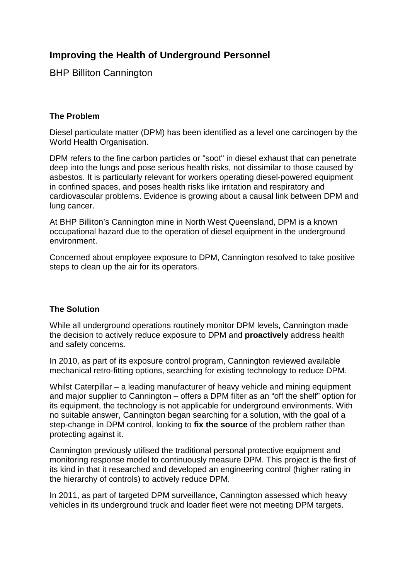# **Improving the Health of Underground Personnel**

BHP Billiton Cannington

# **The Problem**

Diesel particulate matter (DPM) has been identified as a level one carcinogen by the World Health Organisation.

DPM refers to the fine carbon particles or "soot" in diesel exhaust that can penetrate deep into the lungs and pose serious health risks, not dissimilar to those caused by asbestos. It is particularly relevant for workers operating diesel-powered equipment in confined spaces, and poses health risks like irritation and respiratory and cardiovascular problems. Evidence is growing about a causal link between DPM and lung cancer.

At BHP Billiton's Cannington mine in North West Queensland, DPM is a known occupational hazard due to the operation of diesel equipment in the underground environment.

Concerned about employee exposure to DPM, Cannington resolved to take positive steps to clean up the air for its operators.

# **The Solution**

While all underground operations routinely monitor DPM levels, Cannington made the decision to actively reduce exposure to DPM and **proactively** address health and safety concerns.

In 2010, as part of its exposure control program, Cannington reviewed available mechanical retro-fitting options, searching for existing technology to reduce DPM.

Whilst Caterpillar – a leading manufacturer of heavy vehicle and mining equipment and major supplier to Cannington – offers a DPM filter as an "off the shelf" option for its equipment, the technology is not applicable for underground environments. With no suitable answer, Cannington began searching for a solution, with the goal of a step-change in DPM control, looking to **fix the source** of the problem rather than protecting against it.

Cannington previously utilised the traditional personal protective equipment and monitoring response model to continuously measure DPM. This project is the first of its kind in that it researched and developed an engineering control (higher rating in the hierarchy of controls) to actively reduce DPM.

In 2011, as part of targeted DPM surveillance, Cannington assessed which heavy vehicles in its underground truck and loader fleet were not meeting DPM targets.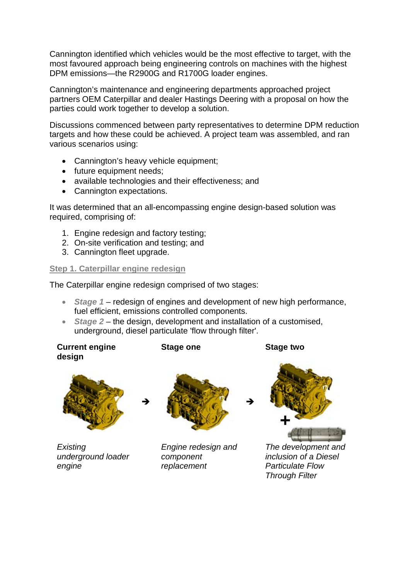Cannington identified which vehicles would be the most effective to target, with the most favoured approach being engineering controls on machines with the highest DPM emissions—the R2900G and R1700G loader engines.

Cannington's maintenance and engineering departments approached project partners OEM Caterpillar and dealer Hastings Deering with a proposal on how the parties could work together to develop a solution.

Discussions commenced between party representatives to determine DPM reduction targets and how these could be achieved. A project team was assembled, and ran various scenarios using:

- Cannington's heavy vehicle equipment;
- future equipment needs;
- available technologies and their effectiveness; and
- Cannington expectations.

It was determined that an all-encompassing engine design-based solution was required, comprising of:

- 1. Engine redesign and factory testing;
- 2. On-site verification and testing; and
- 3. Cannington fleet upgrade.

# **Step 1. Caterpillar engine redesign**

The Caterpillar engine redesign comprised of two stages:

- *Stage 1* redesign of engines and development of new high performance, fuel efficient, emissions controlled components.
- *Stage 2* the design, development and installation of a customised, underground, diesel particulate 'flow through filter'.

**Current engine design Stage one Stage two**



*Existing underground loader engine*



*Engine redesign and component replacement*



*The development and inclusion of a Diesel Particulate Flow Through Filter*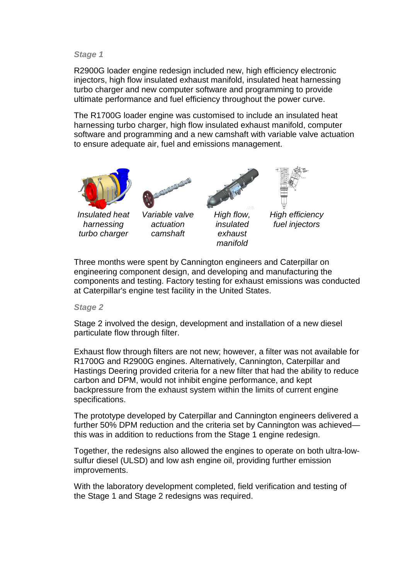#### *Stage 1*

R2900G loader engine redesign included new, high efficiency electronic injectors, high flow insulated exhaust manifold, insulated heat harnessing turbo charger and new computer software and programming to provide ultimate performance and fuel efficiency throughout the power curve.

The R1700G loader engine was customised to include an insulated heat harnessing turbo charger, high flow insulated exhaust manifold, computer software and programming and a new camshaft with variable valve actuation to ensure adequate air, fuel and emissions management.



*Insulated heat harnessing turbo charger*



*Variable valve actuation camshaft*



*High flow, insulated exhaust manifold*



*High efficiency fuel injectors*

Three months were spent by Cannington engineers and Caterpillar on engineering component design, and developing and manufacturing the components and testing. Factory testing for exhaust emissions was conducted at Caterpillar's engine test facility in the United States.

*Stage 2*

Stage 2 involved the design, development and installation of a new diesel particulate flow through filter.

Exhaust flow through filters are not new; however, a filter was not available for R1700G and R2900G engines. Alternatively, Cannington, Caterpillar and Hastings Deering provided criteria for a new filter that had the ability to reduce carbon and DPM, would not inhibit engine performance, and kept backpressure from the exhaust system within the limits of current engine specifications.

The prototype developed by Caterpillar and Cannington engineers delivered a further 50% DPM reduction and the criteria set by Cannington was achieved this was in addition to reductions from the Stage 1 engine redesign.

Together, the redesigns also allowed the engines to operate on both ultra-lowsulfur diesel (ULSD) and low ash engine oil, providing further emission improvements.

With the laboratory development completed, field verification and testing of the Stage 1 and Stage 2 redesigns was required.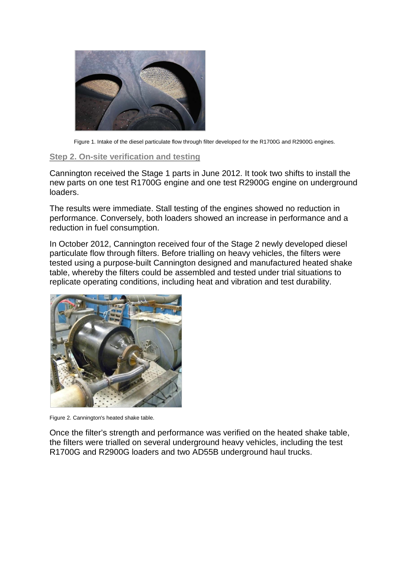

Figure 1. Intake of the diesel particulate flow through filter developed for the R1700G and R2900G engines.

### **Step 2. On-site verification and testing**

Cannington received the Stage 1 parts in June 2012. It took two shifts to install the new parts on one test R1700G engine and one test R2900G engine on underground loaders.

The results were immediate. Stall testing of the engines showed no reduction in performance. Conversely, both loaders showed an increase in performance and a reduction in fuel consumption.

In October 2012, Cannington received four of the Stage 2 newly developed diesel particulate flow through filters. Before trialling on heavy vehicles, the filters were tested using a purpose-built Cannington designed and manufactured heated shake table, whereby the filters could be assembled and tested under trial situations to replicate operating conditions, including heat and vibration and test durability.



Figure 2. Cannington's heated shake table.

Once the filter's strength and performance was verified on the heated shake table, the filters were trialled on several underground heavy vehicles, including the test R1700G and R2900G loaders and two AD55B underground haul trucks.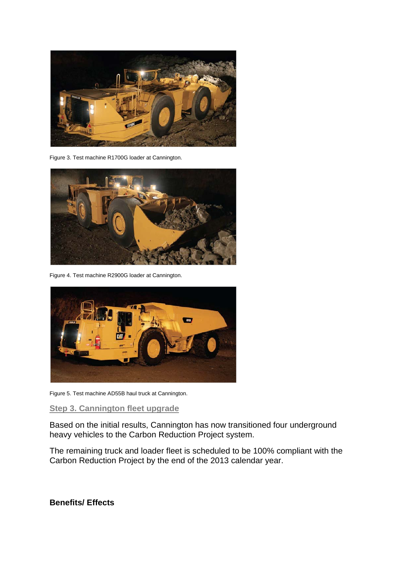

Figure 3. Test machine R1700G loader at Cannington.



Figure 4. Test machine R2900G loader at Cannington.



Figure 5. Test machine AD55B haul truck at Cannington.

# **Step 3. Cannington fleet upgrade**

Based on the initial results, Cannington has now transitioned four underground heavy vehicles to the Carbon Reduction Project system.

The remaining truck and loader fleet is scheduled to be 100% compliant with the Carbon Reduction Project by the end of the 2013 calendar year.

**Benefits/ Effects**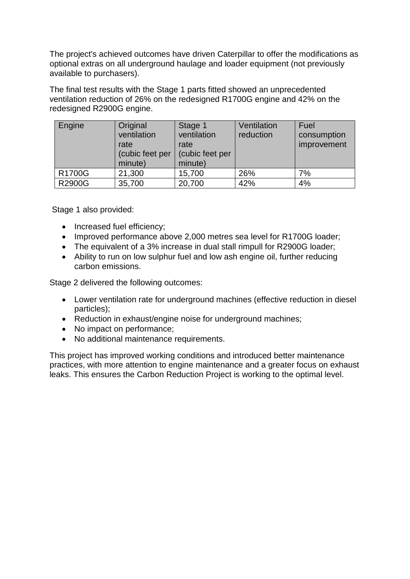The project's achieved outcomes have driven Caterpillar to offer the modifications as optional extras on all underground haulage and loader equipment (not previously available to purchasers).

The final test results with the Stage 1 parts fitted showed an unprecedented ventilation reduction of 26% on the redesigned R1700G engine and 42% on the redesigned R2900G engine.

| Engine        | Original<br>ventilation<br>rate<br>(cubic feet per<br>minute) | Stage 1<br>ventilation<br>rate<br>(cubic feet per<br>minute) | Ventilation<br>reduction | Fuel<br>consumption<br>improvement |
|---------------|---------------------------------------------------------------|--------------------------------------------------------------|--------------------------|------------------------------------|
| R1700G        | 21,300                                                        | 15,700                                                       | 26%                      | 7%                                 |
| <b>R2900G</b> | 35,700                                                        | 20,700                                                       | 42%                      | 4%                                 |

Stage 1 also provided:

- Increased fuel efficiency;
- Improved performance above 2,000 metres sea level for R1700G loader;
- The equivalent of a 3% increase in dual stall rimpull for R2900G loader;
- Ability to run on low sulphur fuel and low ash engine oil, further reducing carbon emissions.

Stage 2 delivered the following outcomes:

- Lower ventilation rate for underground machines (effective reduction in diesel particles);
- Reduction in exhaust/engine noise for underground machines;
- No impact on performance;
- No additional maintenance requirements.

This project has improved working conditions and introduced better maintenance practices, with more attention to engine maintenance and a greater focus on exhaust leaks. This ensures the Carbon Reduction Project is working to the optimal level.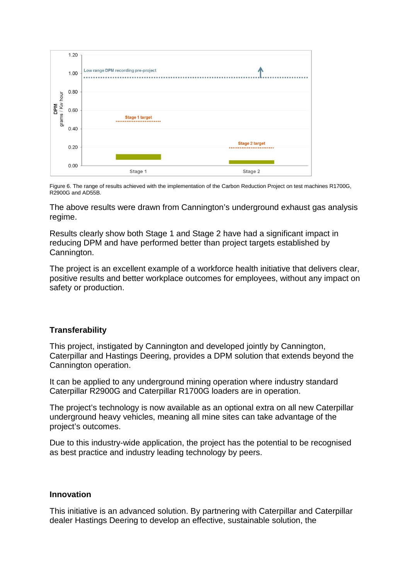

Figure 6. The range of results achieved with the implementation of the Carbon Reduction Project on test machines R1700G, R2900G and AD55B.

The above results were drawn from Cannington's underground exhaust gas analysis regime.

Results clearly show both Stage 1 and Stage 2 have had a significant impact in reducing DPM and have performed better than project targets established by Cannington.

The project is an excellent example of a workforce health initiative that delivers clear, positive results and better workplace outcomes for employees, without any impact on safety or production.

# **Transferability**

This project, instigated by Cannington and developed jointly by Cannington, Caterpillar and Hastings Deering, provides a DPM solution that extends beyond the Cannington operation.

It can be applied to any underground mining operation where industry standard Caterpillar R2900G and Caterpillar R1700G loaders are in operation.

The project's technology is now available as an optional extra on all new Caterpillar underground heavy vehicles, meaning all mine sites can take advantage of the project's outcomes.

Due to this industry-wide application, the project has the potential to be recognised as best practice and industry leading technology by peers.

# **Innovation**

This initiative is an advanced solution. By partnering with Caterpillar and Caterpillar dealer Hastings Deering to develop an effective, sustainable solution, the